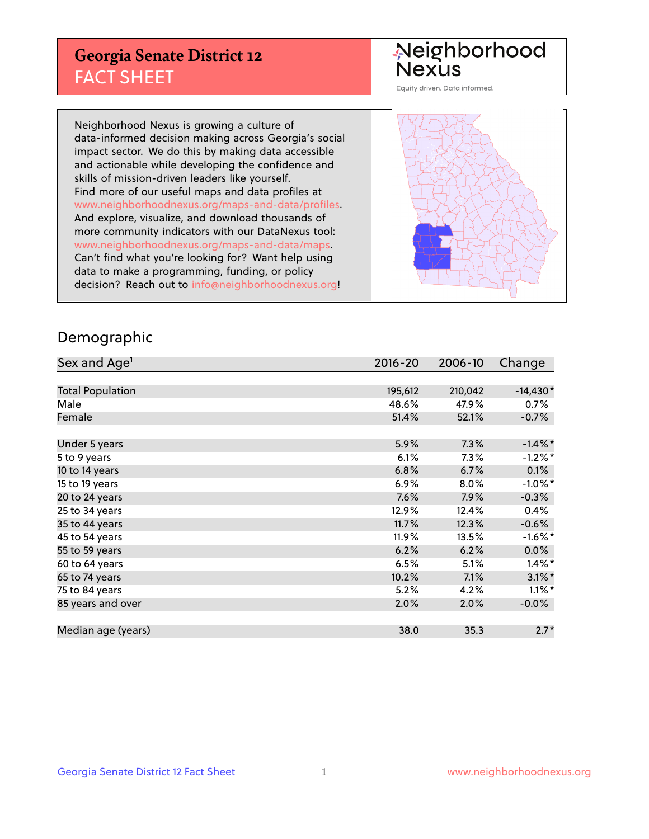## **Georgia Senate District 12** FACT SHEET

# Neighborhood<br>Nexus

Equity driven. Data informed.

Neighborhood Nexus is growing a culture of data-informed decision making across Georgia's social impact sector. We do this by making data accessible and actionable while developing the confidence and skills of mission-driven leaders like yourself. Find more of our useful maps and data profiles at www.neighborhoodnexus.org/maps-and-data/profiles. And explore, visualize, and download thousands of more community indicators with our DataNexus tool: www.neighborhoodnexus.org/maps-and-data/maps. Can't find what you're looking for? Want help using data to make a programming, funding, or policy decision? Reach out to [info@neighborhoodnexus.org!](mailto:info@neighborhoodnexus.org)



### Demographic

| Sex and Age <sup>1</sup> | $2016 - 20$ | 2006-10 | Change     |
|--------------------------|-------------|---------|------------|
|                          |             |         |            |
| <b>Total Population</b>  | 195,612     | 210,042 | $-14,430*$ |
| Male                     | 48.6%       | 47.9%   | $0.7\%$    |
| Female                   | 51.4%       | 52.1%   | $-0.7%$    |
|                          |             |         |            |
| Under 5 years            | 5.9%        | 7.3%    | $-1.4\%$ * |
| 5 to 9 years             | 6.1%        | $7.3\%$ | $-1.2%$ *  |
| 10 to 14 years           | 6.8%        | 6.7%    | 0.1%       |
| 15 to 19 years           | 6.9%        | 8.0%    | $-1.0\%$ * |
| 20 to 24 years           | 7.6%        | 7.9%    | $-0.3%$    |
| 25 to 34 years           | 12.9%       | 12.4%   | 0.4%       |
| 35 to 44 years           | 11.7%       | 12.3%   | $-0.6%$    |
| 45 to 54 years           | 11.9%       | 13.5%   | $-1.6\%$ * |
| 55 to 59 years           | 6.2%        | 6.2%    | 0.0%       |
| 60 to 64 years           | 6.5%        | 5.1%    | $1.4\%$ *  |
| 65 to 74 years           | 10.2%       | 7.1%    | $3.1\%$ *  |
| 75 to 84 years           | 5.2%        | 4.2%    | $1.1\%$ *  |
| 85 years and over        | 2.0%        | 2.0%    | $-0.0%$    |
|                          |             |         |            |
| Median age (years)       | 38.0        | 35.3    | $2.7*$     |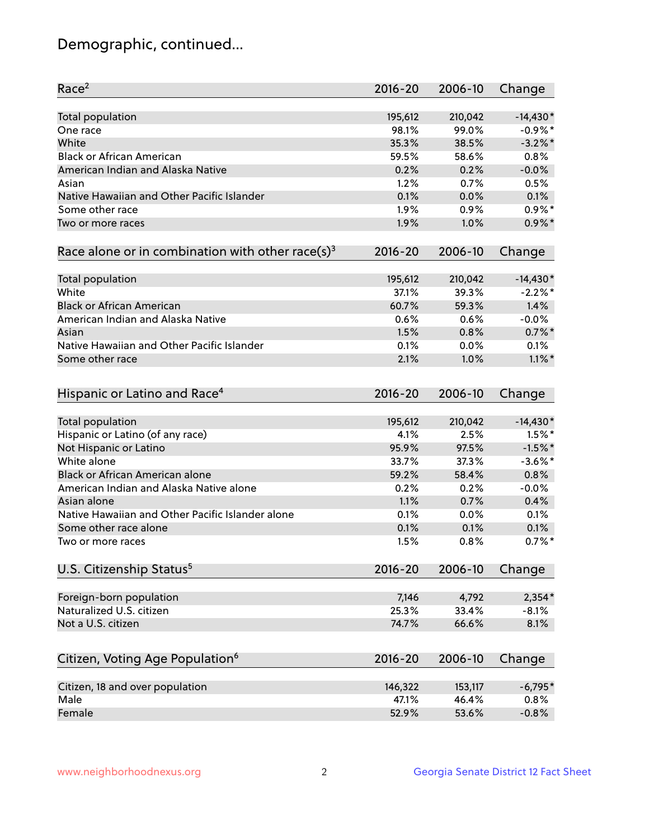## Demographic, continued...

| Race <sup>2</sup>                                            | $2016 - 20$ | 2006-10 | Change     |
|--------------------------------------------------------------|-------------|---------|------------|
| <b>Total population</b>                                      | 195,612     | 210,042 | $-14,430*$ |
| One race                                                     | 98.1%       | 99.0%   | $-0.9%$ *  |
| White                                                        | 35.3%       | 38.5%   | $-3.2\%$ * |
| <b>Black or African American</b>                             | 59.5%       | 58.6%   | 0.8%       |
| American Indian and Alaska Native                            | 0.2%        | 0.2%    | $-0.0%$    |
| Asian                                                        | 1.2%        | 0.7%    | 0.5%       |
| Native Hawaiian and Other Pacific Islander                   | 0.1%        | 0.0%    | 0.1%       |
| Some other race                                              | 1.9%        | 0.9%    | $0.9\%$ *  |
| Two or more races                                            | 1.9%        | 1.0%    | $0.9\%$ *  |
| Race alone or in combination with other race(s) <sup>3</sup> | $2016 - 20$ | 2006-10 | Change     |
| Total population                                             | 195,612     | 210,042 | $-14,430*$ |
| White                                                        | 37.1%       | 39.3%   | $-2.2%$ *  |
| <b>Black or African American</b>                             | 60.7%       | 59.3%   | 1.4%       |
| American Indian and Alaska Native                            | 0.6%        | 0.6%    | $-0.0%$    |
| Asian                                                        | 1.5%        | 0.8%    | $0.7\%$ *  |
| Native Hawaiian and Other Pacific Islander                   | 0.1%        | 0.0%    | 0.1%       |
| Some other race                                              | 2.1%        | 1.0%    | $1.1\%$ *  |
| Hispanic or Latino and Race <sup>4</sup>                     | $2016 - 20$ | 2006-10 | Change     |
| Total population                                             | 195,612     | 210,042 | $-14,430*$ |
| Hispanic or Latino (of any race)                             | 4.1%        | 2.5%    | $1.5%$ *   |
| Not Hispanic or Latino                                       | 95.9%       | 97.5%   | $-1.5%$ *  |
| White alone                                                  | 33.7%       | 37.3%   | $-3.6\%$ * |
| Black or African American alone                              | 59.2%       | 58.4%   | 0.8%       |
| American Indian and Alaska Native alone                      | 0.2%        | 0.2%    | $-0.0%$    |
| Asian alone                                                  | 1.1%        | 0.7%    | 0.4%       |
| Native Hawaiian and Other Pacific Islander alone             | 0.1%        | 0.0%    | 0.1%       |
| Some other race alone                                        | 0.1%        | 0.1%    | 0.1%       |
| Two or more races                                            | 1.5%        | 0.8%    | $0.7%$ *   |
| U.S. Citizenship Status <sup>5</sup>                         | $2016 - 20$ | 2006-10 | Change     |
|                                                              |             |         |            |
| Foreign-born population                                      | 7,146       | 4,792   | $2,354*$   |
| Naturalized U.S. citizen                                     | 25.3%       | 33.4%   | $-8.1%$    |
| Not a U.S. citizen                                           | 74.7%       | 66.6%   | 8.1%       |
| Citizen, Voting Age Population <sup>6</sup>                  | 2016-20     | 2006-10 | Change     |
| Citizen, 18 and over population                              | 146,322     | 153,117 | $-6,795*$  |
| Male                                                         | 47.1%       | 46.4%   | 0.8%       |
| Female                                                       | 52.9%       | 53.6%   | $-0.8%$    |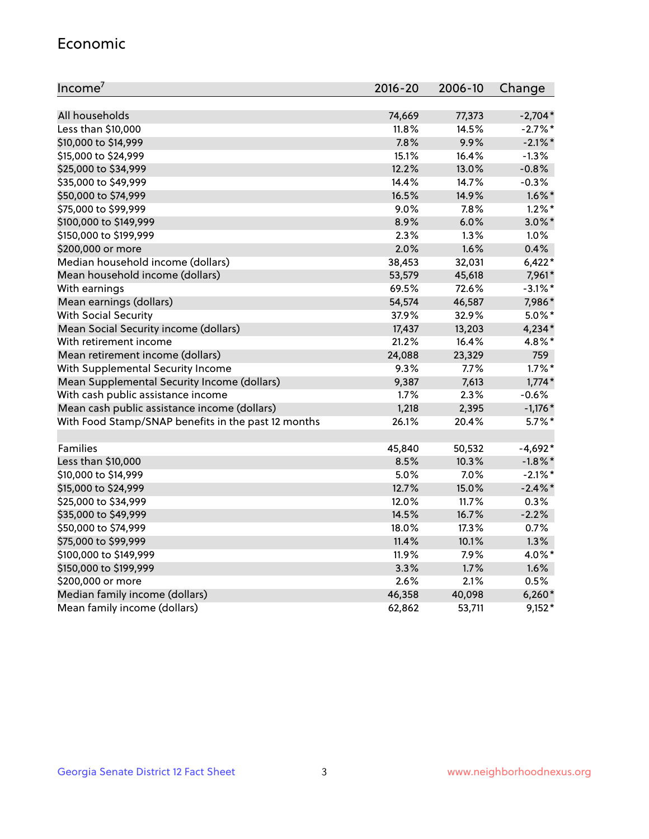#### Economic

| Income <sup>7</sup>                                 | 2016-20 | 2006-10 | Change     |
|-----------------------------------------------------|---------|---------|------------|
|                                                     |         |         |            |
| All households                                      | 74,669  | 77,373  | $-2,704*$  |
| Less than \$10,000                                  | 11.8%   | 14.5%   | $-2.7\%$ * |
| \$10,000 to \$14,999                                | 7.8%    | 9.9%    | $-2.1\%$ * |
| \$15,000 to \$24,999                                | 15.1%   | 16.4%   | $-1.3%$    |
| \$25,000 to \$34,999                                | 12.2%   | 13.0%   | $-0.8%$    |
| \$35,000 to \$49,999                                | 14.4%   | 14.7%   | $-0.3%$    |
| \$50,000 to \$74,999                                | 16.5%   | 14.9%   | $1.6\%$ *  |
| \$75,000 to \$99,999                                | 9.0%    | 7.8%    | $1.2\%$ *  |
| \$100,000 to \$149,999                              | 8.9%    | 6.0%    | $3.0\%$ *  |
| \$150,000 to \$199,999                              | 2.3%    | 1.3%    | 1.0%       |
| \$200,000 or more                                   | 2.0%    | 1.6%    | 0.4%       |
| Median household income (dollars)                   | 38,453  | 32,031  | $6,422*$   |
| Mean household income (dollars)                     | 53,579  | 45,618  | 7,961*     |
| With earnings                                       | 69.5%   | 72.6%   | $-3.1\%$ * |
| Mean earnings (dollars)                             | 54,574  | 46,587  | 7,986*     |
| <b>With Social Security</b>                         | 37.9%   | 32.9%   | $5.0\%$ *  |
| Mean Social Security income (dollars)               | 17,437  | 13,203  | 4,234*     |
| With retirement income                              | 21.2%   | 16.4%   | 4.8%*      |
| Mean retirement income (dollars)                    | 24,088  | 23,329  | 759        |
| With Supplemental Security Income                   | 9.3%    | 7.7%    | $1.7\%$ *  |
| Mean Supplemental Security Income (dollars)         | 9,387   | 7,613   | $1,774*$   |
| With cash public assistance income                  | 1.7%    | 2.3%    | $-0.6%$    |
| Mean cash public assistance income (dollars)        | 1,218   | 2,395   | $-1,176*$  |
| With Food Stamp/SNAP benefits in the past 12 months | 26.1%   | 20.4%   | $5.7\%$ *  |
|                                                     |         |         |            |
| Families                                            | 45,840  | 50,532  | $-4,692*$  |
| Less than \$10,000                                  | 8.5%    | 10.3%   | $-1.8\%$ * |
| \$10,000 to \$14,999                                | 5.0%    | 7.0%    | $-2.1\%$ * |
| \$15,000 to \$24,999                                | 12.7%   | 15.0%   | $-2.4\%$ * |
| \$25,000 to \$34,999                                | 12.0%   | 11.7%   | 0.3%       |
| \$35,000 to \$49,999                                | 14.5%   | 16.7%   | $-2.2%$    |
| \$50,000 to \$74,999                                | 18.0%   | 17.3%   | 0.7%       |
| \$75,000 to \$99,999                                | 11.4%   | 10.1%   | 1.3%       |
| \$100,000 to \$149,999                              | 11.9%   | 7.9%    | 4.0%*      |
| \$150,000 to \$199,999                              | 3.3%    | 1.7%    | 1.6%       |
| \$200,000 or more                                   | 2.6%    | 2.1%    | 0.5%       |
| Median family income (dollars)                      | 46,358  | 40,098  | $6,260*$   |
| Mean family income (dollars)                        | 62,862  | 53,711  | $9,152*$   |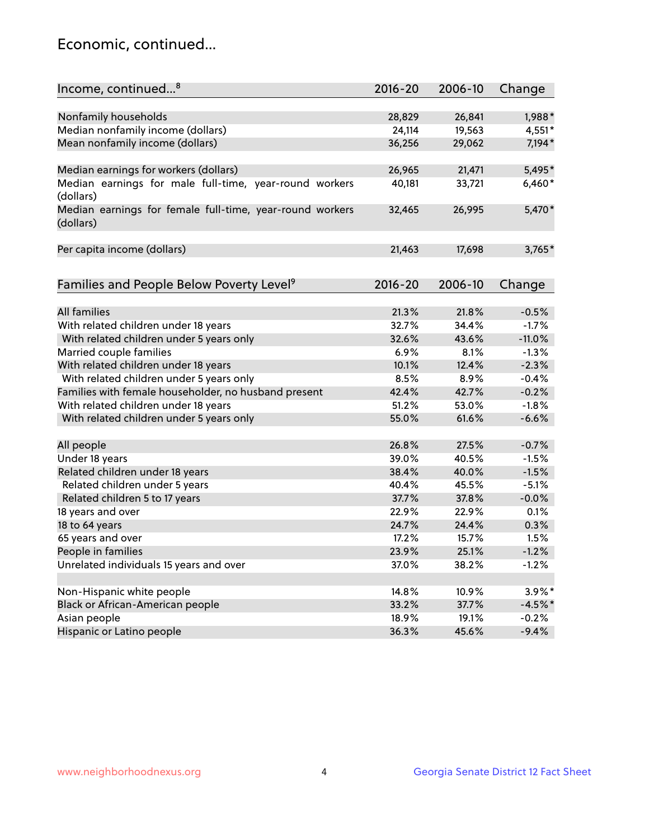## Economic, continued...

| Income, continued <sup>8</sup>                           | $2016 - 20$ | 2006-10 | Change    |
|----------------------------------------------------------|-------------|---------|-----------|
|                                                          |             |         |           |
| Nonfamily households                                     | 28,829      | 26,841  | 1,988*    |
| Median nonfamily income (dollars)                        | 24,114      | 19,563  | 4,551*    |
| Mean nonfamily income (dollars)                          | 36,256      | 29,062  | 7,194*    |
|                                                          |             |         |           |
| Median earnings for workers (dollars)                    | 26,965      | 21,471  | 5,495*    |
| Median earnings for male full-time, year-round workers   | 40,181      | 33,721  | 6,460*    |
| (dollars)                                                |             |         |           |
| Median earnings for female full-time, year-round workers | 32,465      | 26,995  | 5,470*    |
| (dollars)                                                |             |         |           |
|                                                          |             |         |           |
| Per capita income (dollars)                              | 21,463      | 17,698  | $3,765*$  |
|                                                          |             |         |           |
| Families and People Below Poverty Level <sup>9</sup>     | 2016-20     | 2006-10 | Change    |
|                                                          |             |         |           |
| <b>All families</b>                                      | 21.3%       | 21.8%   | $-0.5%$   |
| With related children under 18 years                     | 32.7%       | 34.4%   | $-1.7%$   |
| With related children under 5 years only                 | 32.6%       | 43.6%   | $-11.0%$  |
| Married couple families                                  | 6.9%        | 8.1%    | $-1.3%$   |
| With related children under 18 years                     | 10.1%       | 12.4%   | $-2.3%$   |
| With related children under 5 years only                 | 8.5%        | 8.9%    | $-0.4%$   |
| Families with female householder, no husband present     | 42.4%       | 42.7%   | $-0.2%$   |
| With related children under 18 years                     | 51.2%       | 53.0%   | $-1.8%$   |
| With related children under 5 years only                 | 55.0%       | 61.6%   | $-6.6%$   |
|                                                          |             |         |           |
| All people                                               | 26.8%       | 27.5%   | $-0.7%$   |
| Under 18 years                                           | 39.0%       | 40.5%   | $-1.5%$   |
| Related children under 18 years                          | 38.4%       | 40.0%   | $-1.5%$   |
| Related children under 5 years                           | 40.4%       | 45.5%   | $-5.1%$   |
| Related children 5 to 17 years                           | 37.7%       | 37.8%   | $-0.0%$   |
| 18 years and over                                        | 22.9%       | 22.9%   | 0.1%      |
| 18 to 64 years                                           | 24.7%       | 24.4%   | 0.3%      |
| 65 years and over                                        | 17.2%       | 15.7%   | 1.5%      |
| People in families                                       | 23.9%       | 25.1%   | $-1.2%$   |
| Unrelated individuals 15 years and over                  | 37.0%       | 38.2%   | $-1.2%$   |
|                                                          |             |         |           |
| Non-Hispanic white people                                | 14.8%       | 10.9%   | 3.9%*     |
| Black or African-American people                         | 33.2%       | 37.7%   | $-4.5%$ * |
| Asian people                                             | 18.9%       | 19.1%   | $-0.2%$   |
| Hispanic or Latino people                                | 36.3%       | 45.6%   | $-9.4%$   |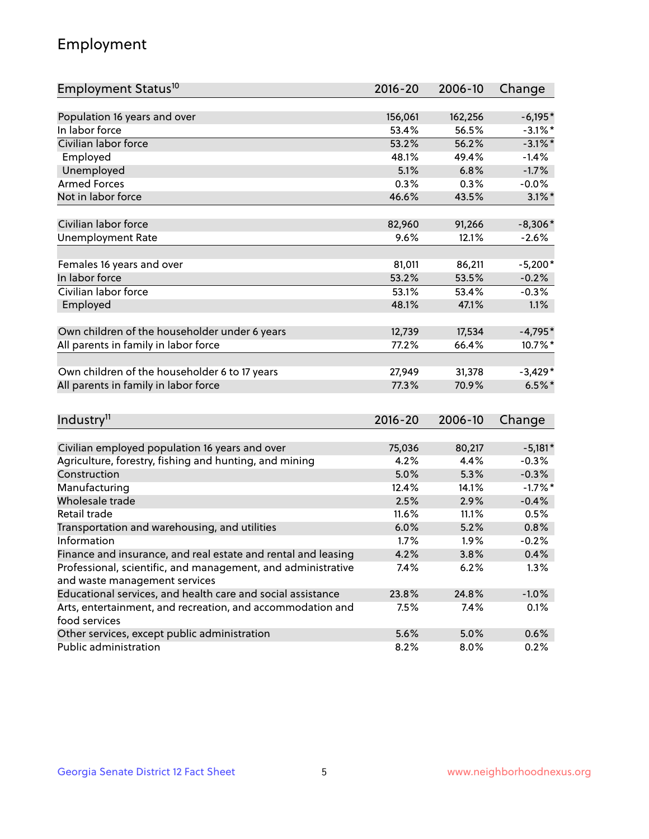## Employment

| Employment Status <sup>10</sup>                                        | $2016 - 20$    | 2006-10       | Change               |
|------------------------------------------------------------------------|----------------|---------------|----------------------|
|                                                                        |                |               |                      |
| Population 16 years and over                                           | 156,061        | 162,256       | $-6,195*$            |
| In labor force                                                         | 53.4%          | 56.5%         | $-3.1\%$ *           |
| Civilian labor force                                                   | 53.2%          | 56.2%         | $-3.1\%$ *           |
| Employed                                                               | 48.1%          | 49.4%         | $-1.4%$              |
| Unemployed                                                             | 5.1%           | 6.8%          | $-1.7%$              |
| <b>Armed Forces</b>                                                    | 0.3%           | 0.3%          | $-0.0%$              |
| Not in labor force                                                     | 46.6%          | 43.5%         | $3.1\%$ *            |
| Civilian labor force                                                   | 82,960         | 91,266        | $-8,306*$            |
|                                                                        | 9.6%           | 12.1%         |                      |
| <b>Unemployment Rate</b>                                               |                |               | $-2.6%$              |
| Females 16 years and over                                              | 81,011         | 86,211        | $-5,200*$            |
| In labor force                                                         | 53.2%          | 53.5%         | $-0.2%$              |
| Civilian labor force                                                   | 53.1%          | 53.4%         | $-0.3%$              |
| Employed                                                               | 48.1%          | 47.1%         | 1.1%                 |
|                                                                        |                |               |                      |
| Own children of the householder under 6 years                          | 12,739         | 17,534        | $-4,795*$            |
| All parents in family in labor force                                   | 77.2%          | 66.4%         | 10.7%*               |
| Own children of the householder 6 to 17 years                          | 27,949         | 31,378        | $-3,429*$            |
| All parents in family in labor force                                   | 77.3%          | 70.9%         | $6.5%$ *             |
|                                                                        |                |               |                      |
| Industry <sup>11</sup>                                                 | 2016-20        | 2006-10       | Change               |
|                                                                        |                |               |                      |
| Civilian employed population 16 years and over                         | 75,036<br>4.2% | 80,217        | $-5,181*$            |
| Agriculture, forestry, fishing and hunting, and mining<br>Construction | 5.0%           | 4.4%<br>5.3%  | $-0.3%$              |
| Manufacturing                                                          | 12.4%          | 14.1%         | $-0.3%$<br>$-1.7%$ * |
| Wholesale trade                                                        | 2.5%           | 2.9%          | $-0.4%$              |
| Retail trade                                                           | 11.6%          |               | 0.5%                 |
|                                                                        | 6.0%           | 11.1%<br>5.2% | 0.8%                 |
| Transportation and warehousing, and utilities<br>Information           | 1.7%           | 1.9%          | $-0.2%$              |
| Finance and insurance, and real estate and rental and leasing          | 4.2%           | 3.8%          | 0.4%                 |
| Professional, scientific, and management, and administrative           | 7.4%           | 6.2%          | 1.3%                 |
| and waste management services                                          |                |               |                      |
| Educational services, and health care and social assistance            | 23.8%          | 24.8%         | $-1.0%$              |
| Arts, entertainment, and recreation, and accommodation and             | 7.5%           | 7.4%          | 0.1%                 |
| food services                                                          |                |               |                      |
| Other services, except public administration                           | 5.6%           | 5.0%          | 0.6%                 |
| Public administration                                                  | 8.2%           | 8.0%          | 0.2%                 |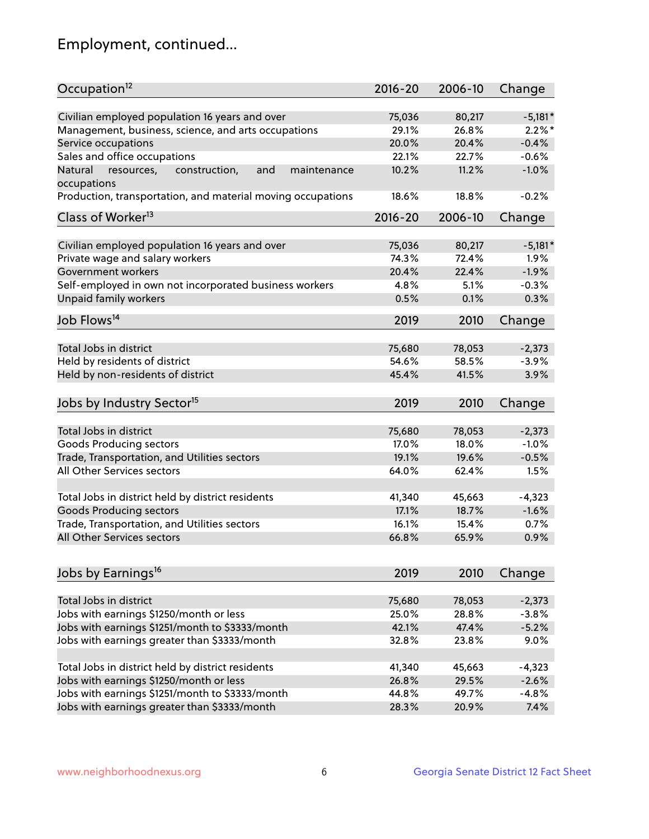## Employment, continued...

| Occupation <sup>12</sup>                                     | $2016 - 20$ | 2006-10 | Change    |
|--------------------------------------------------------------|-------------|---------|-----------|
| Civilian employed population 16 years and over               | 75,036      | 80,217  | $-5,181*$ |
| Management, business, science, and arts occupations          | 29.1%       | 26.8%   | $2.2\%$ * |
| Service occupations                                          | 20.0%       | 20.4%   | $-0.4%$   |
| Sales and office occupations                                 | 22.1%       | 22.7%   | $-0.6%$   |
| Natural<br>resources,<br>and<br>maintenance<br>construction, | 10.2%       | 11.2%   | $-1.0%$   |
| occupations                                                  |             |         |           |
| Production, transportation, and material moving occupations  | 18.6%       | 18.8%   | $-0.2%$   |
| Class of Worker <sup>13</sup>                                | $2016 - 20$ | 2006-10 | Change    |
|                                                              |             |         |           |
| Civilian employed population 16 years and over               | 75,036      | 80,217  | $-5,181*$ |
| Private wage and salary workers                              | 74.3%       | 72.4%   | 1.9%      |
| Government workers                                           | 20.4%       | 22.4%   | $-1.9%$   |
| Self-employed in own not incorporated business workers       | 4.8%        | 5.1%    | $-0.3%$   |
| <b>Unpaid family workers</b>                                 | 0.5%        | 0.1%    | 0.3%      |
| Job Flows <sup>14</sup>                                      | 2019        | 2010    | Change    |
|                                                              |             |         |           |
| Total Jobs in district                                       | 75,680      | 78,053  | $-2,373$  |
| Held by residents of district                                | 54.6%       | 58.5%   | $-3.9%$   |
| Held by non-residents of district                            | 45.4%       | 41.5%   | 3.9%      |
| Jobs by Industry Sector <sup>15</sup>                        | 2019        | 2010    | Change    |
|                                                              |             |         |           |
| Total Jobs in district                                       | 75,680      | 78,053  | $-2,373$  |
| Goods Producing sectors                                      | 17.0%       | 18.0%   | $-1.0%$   |
| Trade, Transportation, and Utilities sectors                 | 19.1%       | 19.6%   | $-0.5%$   |
| All Other Services sectors                                   | 64.0%       | 62.4%   | 1.5%      |
| Total Jobs in district held by district residents            | 41,340      | 45,663  | $-4,323$  |
| <b>Goods Producing sectors</b>                               | 17.1%       | 18.7%   | $-1.6%$   |
| Trade, Transportation, and Utilities sectors                 | 16.1%       | 15.4%   | 0.7%      |
| All Other Services sectors                                   | 66.8%       | 65.9%   | 0.9%      |
|                                                              |             |         |           |
| Jobs by Earnings <sup>16</sup>                               | 2019        | 2010    | Change    |
| Total Jobs in district                                       | 75,680      | 78,053  | $-2,373$  |
|                                                              | 25.0%       |         |           |
| Jobs with earnings \$1250/month or less                      |             | 28.8%   | $-3.8%$   |
| Jobs with earnings \$1251/month to \$3333/month              | 42.1%       | 47.4%   | $-5.2%$   |
| Jobs with earnings greater than \$3333/month                 | 32.8%       | 23.8%   | 9.0%      |
| Total Jobs in district held by district residents            | 41,340      | 45,663  | $-4,323$  |
| Jobs with earnings \$1250/month or less                      | 26.8%       | 29.5%   | $-2.6%$   |
| Jobs with earnings \$1251/month to \$3333/month              | 44.8%       | 49.7%   | $-4.8%$   |
| Jobs with earnings greater than \$3333/month                 | 28.3%       | 20.9%   | 7.4%      |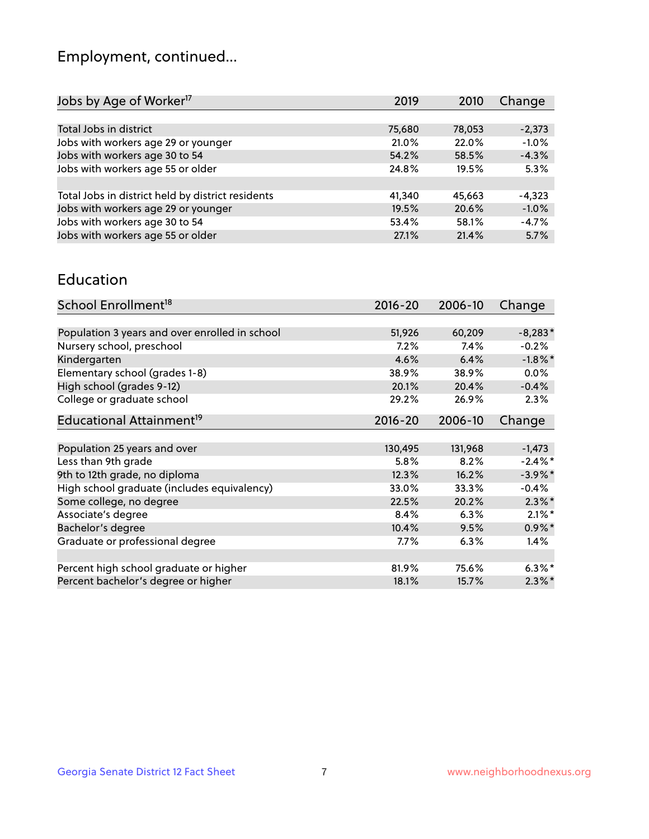## Employment, continued...

| Jobs by Age of Worker <sup>17</sup>               | 2019   | 2010   | Change   |
|---------------------------------------------------|--------|--------|----------|
|                                                   |        |        |          |
| Total Jobs in district                            | 75,680 | 78,053 | $-2,373$ |
| Jobs with workers age 29 or younger               | 21.0%  | 22.0%  | $-1.0%$  |
| Jobs with workers age 30 to 54                    | 54.2%  | 58.5%  | $-4.3%$  |
| Jobs with workers age 55 or older                 | 24.8%  | 19.5%  | 5.3%     |
|                                                   |        |        |          |
| Total Jobs in district held by district residents | 41,340 | 45,663 | $-4,323$ |
| Jobs with workers age 29 or younger               | 19.5%  | 20.6%  | $-1.0%$  |
| Jobs with workers age 30 to 54                    | 53.4%  | 58.1%  | $-4.7%$  |
| Jobs with workers age 55 or older                 | 27.1%  | 21.4%  | 5.7%     |

#### Education

| School Enrollment <sup>18</sup>                | $2016 - 20$ | 2006-10 | Change     |
|------------------------------------------------|-------------|---------|------------|
|                                                |             |         |            |
| Population 3 years and over enrolled in school | 51,926      | 60,209  | $-8,283*$  |
| Nursery school, preschool                      | $7.2\%$     | 7.4%    | $-0.2%$    |
| Kindergarten                                   | 4.6%        | 6.4%    | $-1.8\%$ * |
| Elementary school (grades 1-8)                 | 38.9%       | 38.9%   | $0.0\%$    |
| High school (grades 9-12)                      | 20.1%       | 20.4%   | $-0.4%$    |
| College or graduate school                     | 29.2%       | 26.9%   | 2.3%       |
| Educational Attainment <sup>19</sup>           | $2016 - 20$ | 2006-10 | Change     |
|                                                |             |         |            |
| Population 25 years and over                   | 130,495     | 131,968 | $-1,473$   |
| Less than 9th grade                            | 5.8%        | 8.2%    | $-2.4\%$ * |
| 9th to 12th grade, no diploma                  | 12.3%       | 16.2%   | $-3.9\%$ * |
| High school graduate (includes equivalency)    | 33.0%       | 33.3%   | $-0.4%$    |
| Some college, no degree                        | 22.5%       | 20.2%   | $2.3\%$ *  |
| Associate's degree                             | 8.4%        | 6.3%    | $2.1\%$ *  |
| Bachelor's degree                              | 10.4%       | 9.5%    | $0.9\%$ *  |
| Graduate or professional degree                | $7.7\%$     | 6.3%    | 1.4%       |
|                                                |             |         |            |
| Percent high school graduate or higher         | 81.9%       | 75.6%   | $6.3\%$ *  |
| Percent bachelor's degree or higher            | 18.1%       | 15.7%   | $2.3\%$ *  |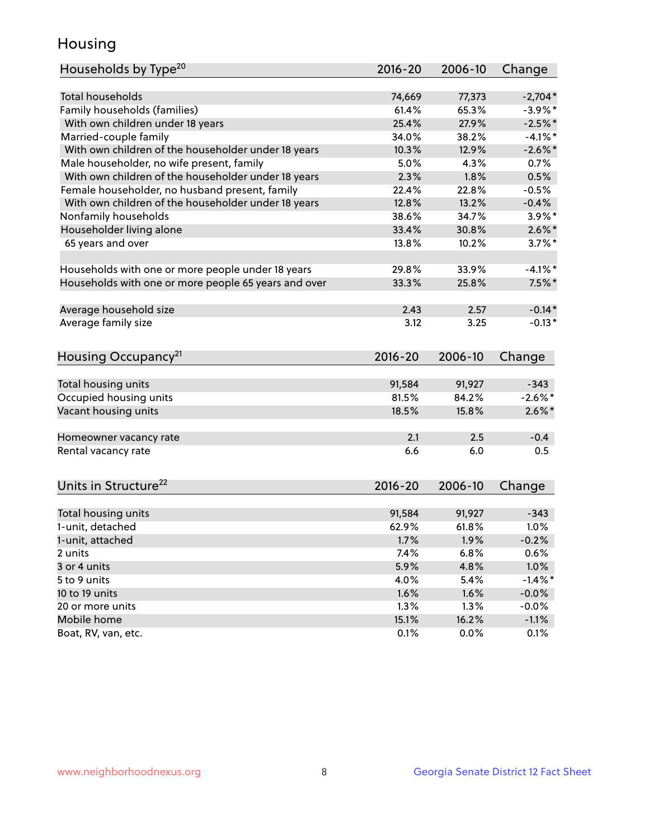## Housing

| Households by Type <sup>20</sup>                     | 2016-20     | 2006-10 | Change     |
|------------------------------------------------------|-------------|---------|------------|
|                                                      |             |         |            |
| <b>Total households</b>                              | 74,669      | 77,373  | $-2,704*$  |
| Family households (families)                         | 61.4%       | 65.3%   | $-3.9%$ *  |
| With own children under 18 years                     | 25.4%       | 27.9%   | $-2.5%$ *  |
| Married-couple family                                | 34.0%       | 38.2%   | $-4.1\%$ * |
| With own children of the householder under 18 years  | 10.3%       | 12.9%   | $-2.6\%$ * |
| Male householder, no wife present, family            | 5.0%        | 4.3%    | 0.7%       |
| With own children of the householder under 18 years  | 2.3%        | 1.8%    | 0.5%       |
| Female householder, no husband present, family       | 22.4%       | 22.8%   | $-0.5%$    |
| With own children of the householder under 18 years  | 12.8%       | 13.2%   | $-0.4%$    |
| Nonfamily households                                 | 38.6%       | 34.7%   | $3.9\%$ *  |
| Householder living alone                             | 33.4%       | 30.8%   | $2.6\%$ *  |
| 65 years and over                                    | 13.8%       | 10.2%   | $3.7\%$ *  |
| Households with one or more people under 18 years    | 29.8%       | 33.9%   | $-4.1\%$ * |
| Households with one or more people 65 years and over | 33.3%       | 25.8%   | $7.5\%$ *  |
|                                                      |             |         |            |
| Average household size                               | 2.43        | 2.57    | $-0.14*$   |
| Average family size                                  | 3.12        | 3.25    | $-0.13*$   |
| Housing Occupancy <sup>21</sup>                      | $2016 - 20$ | 2006-10 | Change     |
| Total housing units                                  | 91,584      | 91,927  | $-343$     |
| Occupied housing units                               | 81.5%       | 84.2%   | $-2.6\%$ * |
| Vacant housing units                                 | 18.5%       | 15.8%   | $2.6\%$ *  |
|                                                      |             |         |            |
| Homeowner vacancy rate                               | 2.1         | 2.5     | $-0.4$     |
| Rental vacancy rate                                  | 6.6         | 6.0     | 0.5        |
| Units in Structure <sup>22</sup>                     | 2016-20     | 2006-10 | Change     |
|                                                      |             |         |            |
| Total housing units                                  | 91,584      | 91,927  | $-343$     |
| 1-unit, detached                                     | 62.9%       | 61.8%   | 1.0%       |
| 1-unit, attached                                     | 1.7%        | 1.9%    | $-0.2%$    |
| 2 units                                              | 7.4%        | 6.8%    | 0.6%       |
| 3 or 4 units                                         | 5.9%        | 4.8%    | 1.0%       |
| 5 to 9 units                                         | 4.0%        | 5.4%    | $-1.4\%$ * |
| 10 to 19 units                                       | 1.6%        | 1.6%    | $-0.0%$    |
| 20 or more units                                     | 1.3%        | 1.3%    | $-0.0%$    |
| Mobile home                                          | 15.1%       | 16.2%   | $-1.1%$    |
| Boat, RV, van, etc.                                  | 0.1%        | 0.0%    | 0.1%       |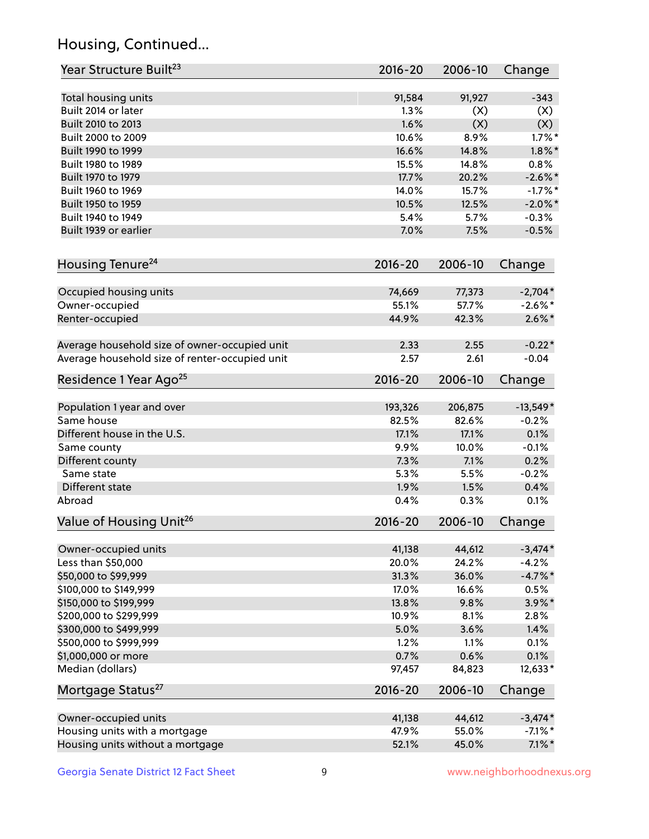## Housing, Continued...

| Year Structure Built <sup>23</sup>             | 2016-20     | 2006-10 | Change     |
|------------------------------------------------|-------------|---------|------------|
| Total housing units                            | 91,584      | 91,927  | $-343$     |
| Built 2014 or later                            | 1.3%        | (X)     | (X)        |
| Built 2010 to 2013                             | 1.6%        | (X)     | (X)        |
| Built 2000 to 2009                             | 10.6%       | 8.9%    | $1.7\%$ *  |
| Built 1990 to 1999                             | 16.6%       | 14.8%   | $1.8\%$ *  |
| Built 1980 to 1989                             | 15.5%       | 14.8%   | 0.8%       |
| Built 1970 to 1979                             | 17.7%       | 20.2%   | $-2.6\%$ * |
| Built 1960 to 1969                             | 14.0%       | 15.7%   | $-1.7%$ *  |
| Built 1950 to 1959                             | 10.5%       | 12.5%   | $-2.0\%$ * |
| Built 1940 to 1949                             | 5.4%        | 5.7%    | $-0.3%$    |
| Built 1939 or earlier                          | 7.0%        | 7.5%    | $-0.5%$    |
|                                                |             |         |            |
| Housing Tenure <sup>24</sup>                   | $2016 - 20$ | 2006-10 | Change     |
| Occupied housing units                         | 74,669      | 77,373  | $-2,704*$  |
| Owner-occupied                                 | 55.1%       | 57.7%   | $-2.6\%$ * |
| Renter-occupied                                | 44.9%       | 42.3%   | $2.6\%*$   |
| Average household size of owner-occupied unit  | 2.33        | 2.55    | $-0.22*$   |
| Average household size of renter-occupied unit | 2.57        | 2.61    | $-0.04$    |
| Residence 1 Year Ago <sup>25</sup>             | $2016 - 20$ | 2006-10 | Change     |
| Population 1 year and over                     | 193,326     | 206,875 | $-13,549*$ |
| Same house                                     | 82.5%       | 82.6%   | $-0.2%$    |
| Different house in the U.S.                    | 17.1%       | 17.1%   | 0.1%       |
| Same county                                    | 9.9%        | 10.0%   | $-0.1%$    |
| Different county                               | 7.3%        | 7.1%    | 0.2%       |
| Same state                                     | 5.3%        | 5.5%    | $-0.2%$    |
| Different state                                | 1.9%        | 1.5%    | 0.4%       |
|                                                |             |         |            |
| Abroad                                         | 0.4%        | 0.3%    | 0.1%       |
| Value of Housing Unit <sup>26</sup>            | $2016 - 20$ | 2006-10 | Change     |
| Owner-occupied units                           | 41,138      | 44,612  | $-3,474*$  |
| Less than \$50,000                             | 20.0%       | 24.2%   | $-4.2%$    |
| \$50,000 to \$99,999                           | 31.3%       | 36.0%   | $-4.7\%$ * |
| \$100,000 to \$149,999                         | 17.0%       | 16.6%   | 0.5%       |
| \$150,000 to \$199,999                         | 13.8%       | 9.8%    | $3.9\%$ *  |
| \$200,000 to \$299,999                         | 10.9%       | 8.1%    | 2.8%       |
| \$300,000 to \$499,999                         | 5.0%        | 3.6%    | 1.4%       |
| \$500,000 to \$999,999                         | 1.2%        | 1.1%    | 0.1%       |
| \$1,000,000 or more                            | 0.7%        | 0.6%    | 0.1%       |
| Median (dollars)                               | 97,457      | 84,823  | 12,633*    |
| Mortgage Status <sup>27</sup>                  | $2016 - 20$ | 2006-10 | Change     |
| Owner-occupied units                           | 41,138      | 44,612  | $-3,474*$  |
| Housing units with a mortgage                  | 47.9%       | 55.0%   | $-7.1\%$ * |
| Housing units without a mortgage               | 52.1%       | 45.0%   | $7.1\%$ *  |
|                                                |             |         |            |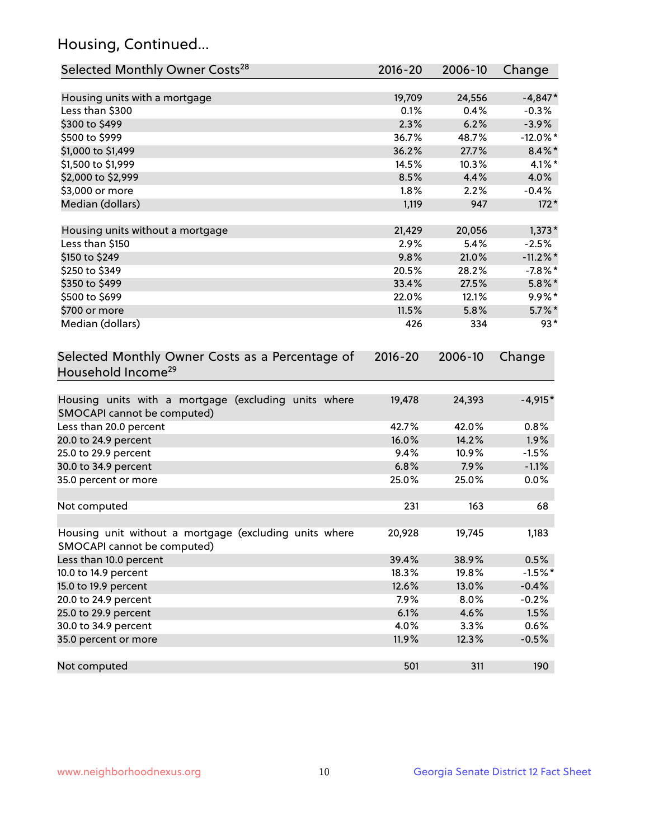## Housing, Continued...

| Selected Monthly Owner Costs <sup>28</sup>                                            | 2016-20 | 2006-10 | Change      |
|---------------------------------------------------------------------------------------|---------|---------|-------------|
| Housing units with a mortgage                                                         | 19,709  | 24,556  | $-4,847*$   |
| Less than \$300                                                                       | 0.1%    | 0.4%    | $-0.3%$     |
| \$300 to \$499                                                                        | 2.3%    | 6.2%    | $-3.9%$     |
| \$500 to \$999                                                                        | 36.7%   | 48.7%   | $-12.0\%$ * |
| \$1,000 to \$1,499                                                                    | 36.2%   | 27.7%   | $8.4\%$ *   |
| \$1,500 to \$1,999                                                                    | 14.5%   | 10.3%   | $4.1\%$ *   |
| \$2,000 to \$2,999                                                                    | 8.5%    | 4.4%    | 4.0%        |
| \$3,000 or more                                                                       | 1.8%    | 2.2%    | $-0.4%$     |
| Median (dollars)                                                                      | 1,119   | 947     | $172*$      |
| Housing units without a mortgage                                                      | 21,429  | 20,056  | $1,373*$    |
| Less than \$150                                                                       | 2.9%    | 5.4%    | $-2.5%$     |
| \$150 to \$249                                                                        | 9.8%    | 21.0%   | $-11.2\%$ * |
| \$250 to \$349                                                                        | 20.5%   | 28.2%   | $-7.8\%$ *  |
| \$350 to \$499                                                                        | 33.4%   | 27.5%   | $5.8\%$ *   |
| \$500 to \$699                                                                        | 22.0%   | 12.1%   | $9.9\%$ *   |
| \$700 or more                                                                         | 11.5%   | 5.8%    | $5.7\%$ *   |
| Median (dollars)                                                                      | 426     | 334     | $93*$       |
| Selected Monthly Owner Costs as a Percentage of<br>Household Income <sup>29</sup>     |         |         | Change      |
| Housing units with a mortgage (excluding units where<br>SMOCAPI cannot be computed)   | 19,478  | 24,393  | $-4,915*$   |
| Less than 20.0 percent                                                                | 42.7%   | 42.0%   | 0.8%        |
| 20.0 to 24.9 percent                                                                  | 16.0%   | 14.2%   | 1.9%        |
| 25.0 to 29.9 percent                                                                  | 9.4%    | 10.9%   | $-1.5%$     |
| 30.0 to 34.9 percent                                                                  | 6.8%    | 7.9%    | $-1.1%$     |
| 35.0 percent or more                                                                  | 25.0%   | 25.0%   | 0.0%        |
| Not computed                                                                          | 231     | 163     | 68          |
| Housing unit without a mortgage (excluding units where<br>SMOCAPI cannot be computed) | 20,928  | 19,745  | 1,183       |
| Less than 10.0 percent                                                                | 39.4%   | 38.9%   | 0.5%        |
| 10.0 to 14.9 percent                                                                  | 18.3%   | 19.8%   | $-1.5%$ *   |
| 15.0 to 19.9 percent                                                                  | 12.6%   | 13.0%   | $-0.4%$     |
| 20.0 to 24.9 percent                                                                  | 7.9%    | 8.0%    | $-0.2%$     |
| 25.0 to 29.9 percent                                                                  | 6.1%    | 4.6%    | 1.5%        |
| 30.0 to 34.9 percent                                                                  | 4.0%    | 3.3%    | 0.6%        |
| 35.0 percent or more                                                                  | 11.9%   | 12.3%   | $-0.5%$     |
| Not computed                                                                          | 501     | 311     | 190         |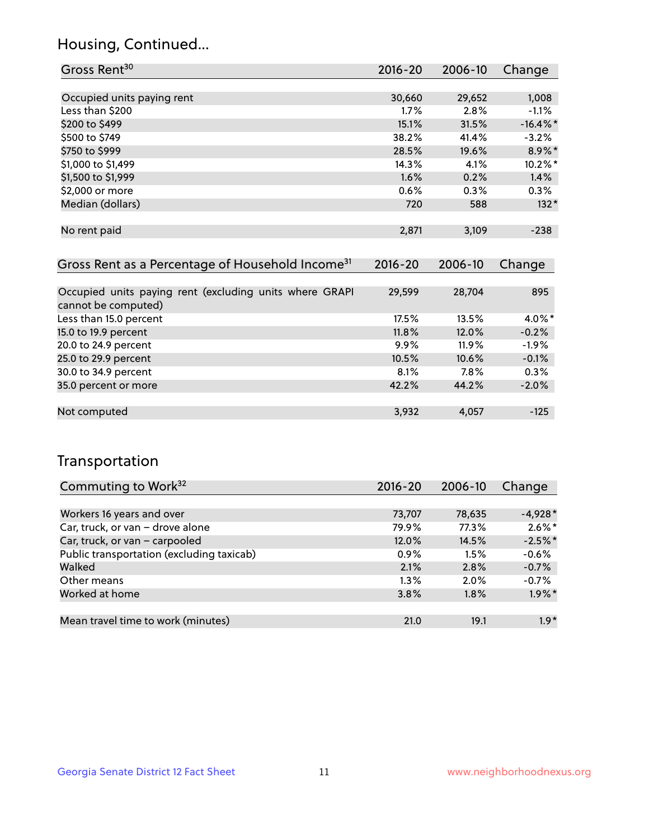## Housing, Continued...

| Gross Rent <sup>30</sup>                                                       | 2016-20              | 2006-10          | Change           |
|--------------------------------------------------------------------------------|----------------------|------------------|------------------|
|                                                                                |                      |                  |                  |
| Occupied units paying rent                                                     | 30,660               | 29,652           | 1,008            |
| Less than \$200                                                                | 1.7%                 | 2.8%             | $-1.1%$          |
| \$200 to \$499                                                                 | 15.1%                | 31.5%            | $-16.4\%$ *      |
| \$500 to \$749                                                                 | 38.2%                | 41.4%            | $-3.2%$          |
| \$750 to \$999                                                                 | 28.5%                | 19.6%            | 8.9%*            |
| \$1,000 to \$1,499                                                             | 14.3%                | 4.1%             | 10.2%*           |
| \$1,500 to \$1,999                                                             | 1.6%                 | 0.2%             | 1.4%             |
| \$2,000 or more                                                                | 0.6%                 | 0.3%             | 0.3%             |
| Median (dollars)                                                               | 720                  | 588              | $132*$           |
| No rent paid<br>Gross Rent as a Percentage of Household Income <sup>31</sup>   | 2,871<br>$2016 - 20$ | 3,109<br>2006-10 | $-238$<br>Change |
|                                                                                |                      |                  |                  |
| Occupied units paying rent (excluding units where GRAPI<br>cannot be computed) | 29,599               | 28,704           | 895              |
| Less than 15.0 percent                                                         | 17.5%                | 13.5%            | 4.0%*            |
| 15.0 to 19.9 percent                                                           | 11.8%                | 12.0%            | $-0.2%$          |
| 20.0 to 24.9 percent                                                           | $9.9\%$              | 11.9%            | $-1.9%$          |
| 25.0 to 29.9 percent                                                           | 10.5%                | 10.6%            | $-0.1%$          |
| 30.0 to 34.9 percent                                                           | 8.1%                 | 7.8%             | 0.3%             |
| 35.0 percent or more                                                           | 42.2%                | 44.2%            | $-2.0%$          |
| Not computed                                                                   | 3,932                | 4,057            | $-125$           |

## Transportation

| Commuting to Work <sup>32</sup>           | 2016-20 | 2006-10 | Change    |
|-------------------------------------------|---------|---------|-----------|
|                                           |         |         |           |
| Workers 16 years and over                 | 73,707  | 78,635  | $-4,928*$ |
| Car, truck, or van - drove alone          | 79.9%   | 77.3%   | $2.6\%$ * |
| Car, truck, or van - carpooled            | 12.0%   | 14.5%   | $-2.5%$ * |
| Public transportation (excluding taxicab) | $0.9\%$ | 1.5%    | $-0.6%$   |
| Walked                                    | 2.1%    | 2.8%    | $-0.7%$   |
| Other means                               | $1.3\%$ | $2.0\%$ | $-0.7%$   |
| Worked at home                            | 3.8%    | $1.8\%$ | $1.9\%$ * |
|                                           |         |         |           |
| Mean travel time to work (minutes)        | 21.0    | 19.1    | $1.9*$    |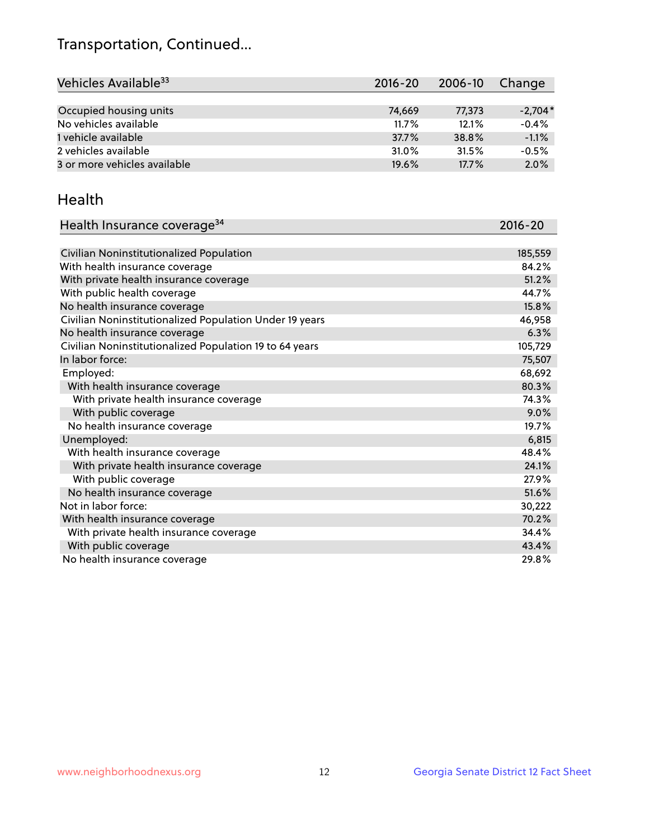## Transportation, Continued...

| Vehicles Available <sup>33</sup> | $2016 - 20$ | 2006-10 | Change    |
|----------------------------------|-------------|---------|-----------|
|                                  |             |         |           |
| Occupied housing units           | 74,669      | 77,373  | $-2.704*$ |
| No vehicles available            | 11.7%       | 12.1%   | $-0.4%$   |
| 1 vehicle available              | 37.7%       | 38.8%   | $-1.1%$   |
| 2 vehicles available             | 31.0%       | 31.5%   | $-0.5%$   |
| 3 or more vehicles available     | 19.6%       | 17.7%   | 2.0%      |

#### Health

| Health Insurance coverage <sup>34</sup>                 | 2016-20 |
|---------------------------------------------------------|---------|
|                                                         |         |
| Civilian Noninstitutionalized Population                | 185,559 |
| With health insurance coverage                          | 84.2%   |
| With private health insurance coverage                  | 51.2%   |
| With public health coverage                             | 44.7%   |
| No health insurance coverage                            | 15.8%   |
| Civilian Noninstitutionalized Population Under 19 years | 46,958  |
| No health insurance coverage                            | 6.3%    |
| Civilian Noninstitutionalized Population 19 to 64 years | 105,729 |
| In labor force:                                         | 75,507  |
| Employed:                                               | 68,692  |
| With health insurance coverage                          | 80.3%   |
| With private health insurance coverage                  | 74.3%   |
| With public coverage                                    | 9.0%    |
| No health insurance coverage                            | 19.7%   |
| Unemployed:                                             | 6,815   |
| With health insurance coverage                          | 48.4%   |
| With private health insurance coverage                  | 24.1%   |
| With public coverage                                    | 27.9%   |
| No health insurance coverage                            | 51.6%   |
| Not in labor force:                                     | 30,222  |
| With health insurance coverage                          | 70.2%   |
| With private health insurance coverage                  | 34.4%   |
| With public coverage                                    | 43.4%   |
| No health insurance coverage                            | 29.8%   |